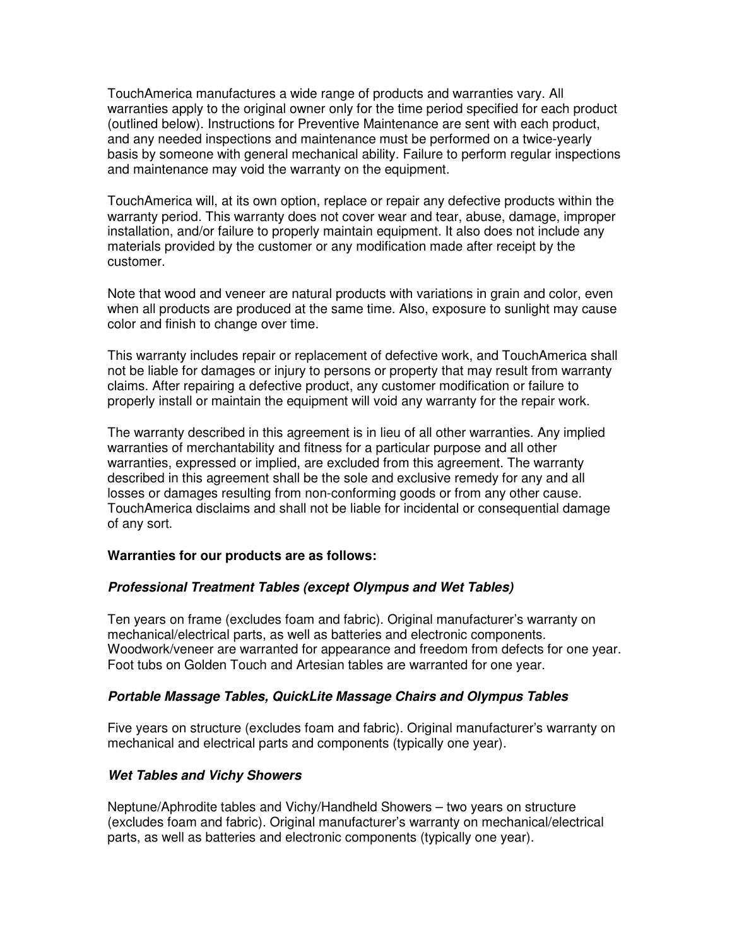TouchAmerica manufactures a wide range of products and warranties vary. All warranties apply to the original owner only for the time period specified for each product (outlined below). Instructions for Preventive Maintenance are sent with each product, and any needed inspections and maintenance must be performed on a twice-yearly basis by someone with general mechanical ability. Failure to perform regular inspections and maintenance may void the warranty on the equipment.

TouchAmerica will, at its own option, replace or repair any defective products within the warranty period. This warranty does not cover wear and tear, abuse, damage, improper installation, and/or failure to properly maintain equipment. It also does not include any materials provided by the customer or any modification made after receipt by the customer.

Note that wood and veneer are natural products with variations in grain and color, even when all products are produced at the same time. Also, exposure to sunlight may cause color and finish to change over time.

This warranty includes repair or replacement of defective work, and TouchAmerica shall not be liable for damages or injury to persons or property that may result from warranty claims. After repairing a defective product, any customer modification or failure to properly install or maintain the equipment will void any warranty for the repair work.

The warranty described in this agreement is in lieu of all other warranties. Any implied warranties of merchantability and fitness for a particular purpose and all other warranties, expressed or implied, are excluded from this agreement. The warranty described in this agreement shall be the sole and exclusive remedy for any and all losses or damages resulting from non-conforming goods or from any other cause. TouchAmerica disclaims and shall not be liable for incidental or consequential damage of any sort.

### **Warranties for our products are as follows:**

# **Professional Treatment Tables (except Olympus and Wet Tables)**

Ten years on frame (excludes foam and fabric). Original manufacturer's warranty on mechanical/electrical parts, as well as batteries and electronic components. Woodwork/veneer are warranted for appearance and freedom from defects for one year. Foot tubs on Golden Touch and Artesian tables are warranted for one year.

### **Portable Massage Tables, QuickLite Massage Chairs and Olympus Tables**

Five years on structure (excludes foam and fabric). Original manufacturer's warranty on mechanical and electrical parts and components (typically one year).

### **Wet Tables and Vichy Showers**

Neptune/Aphrodite tables and Vichy/Handheld Showers – two years on structure (excludes foam and fabric). Original manufacturer's warranty on mechanical/electrical parts, as well as batteries and electronic components (typically one year).